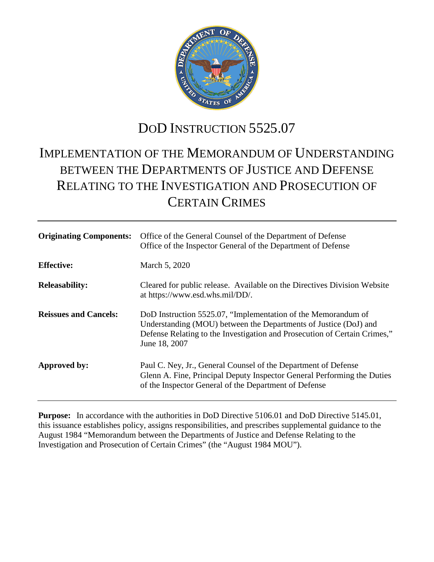

# DOD INSTRUCTION 5525.07

# IMPLEMENTATION OF THE MEMORANDUM OF UNDERSTANDING BETWEEN THE DEPARTMENTS OF JUSTICE AND DEFENSE RELATING TO THE INVESTIGATION AND PROSECUTION OF CERTAIN CRIMES

| <b>Originating Components:</b> | Office of the General Counsel of the Department of Defense<br>Office of the Inspector General of the Department of Defense                                                                                                      |
|--------------------------------|---------------------------------------------------------------------------------------------------------------------------------------------------------------------------------------------------------------------------------|
| <b>Effective:</b>              | March 5, 2020                                                                                                                                                                                                                   |
| <b>Releasability:</b>          | Cleared for public release. Available on the Directives Division Website<br>at https://www.esd.whs.mil/DD/.                                                                                                                     |
| <b>Reissues and Cancels:</b>   | DoD Instruction 5525.07, "Implementation of the Memorandum of<br>Understanding (MOU) between the Departments of Justice (DoJ) and<br>Defense Relating to the Investigation and Prosecution of Certain Crimes,"<br>June 18, 2007 |
| Approved by:                   | Paul C. Ney, Jr., General Counsel of the Department of Defense<br>Glenn A. Fine, Principal Deputy Inspector General Performing the Duties<br>of the Inspector General of the Department of Defense                              |

**Purpose:** In accordance with the authorities in DoD Directive 5106.01 and DoD Directive 5145.01, this issuance establishes policy, assigns responsibilities, and prescribes supplemental guidance to the August 1984 "Memorandum between the Departments of Justice and Defense Relating to the Investigation and Prosecution of Certain Crimes" (the "August 1984 MOU").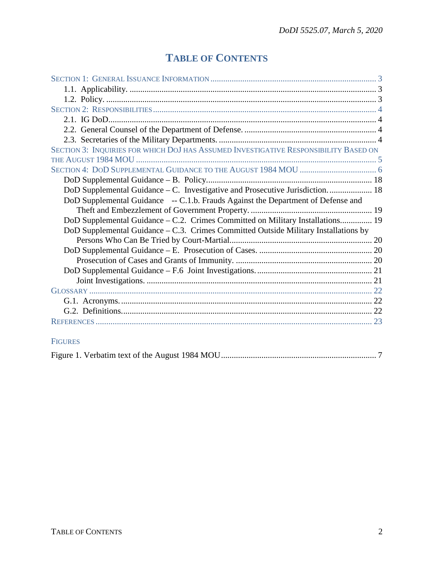# **TABLE OF CONTENTS**

| SECTION 3: INQUIRIES FOR WHICH DOJ HAS ASSUMED INVESTIGATIVE RESPONSIBILITY BASED ON   |  |
|----------------------------------------------------------------------------------------|--|
|                                                                                        |  |
|                                                                                        |  |
|                                                                                        |  |
| DoD Supplemental Guidance – C. Investigative and Prosecutive Jurisdiction 18           |  |
| DoD Supplemental Guidance -- C.1.b. Frauds Against the Department of Defense and       |  |
|                                                                                        |  |
| DoD Supplemental Guidance – C.2. Crimes Committed on Military Installations 19         |  |
| DoD Supplemental Guidance $- C.3$ . Crimes Committed Outside Military Installations by |  |
|                                                                                        |  |
|                                                                                        |  |
|                                                                                        |  |
|                                                                                        |  |
|                                                                                        |  |
|                                                                                        |  |
|                                                                                        |  |
|                                                                                        |  |
|                                                                                        |  |
|                                                                                        |  |

### FIGURES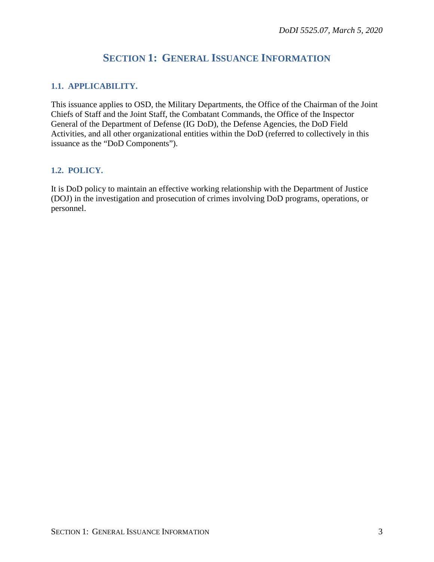## **SECTION 1: GENERAL ISSUANCE INFORMATION**

### <span id="page-2-1"></span><span id="page-2-0"></span>**1.1. APPLICABILITY.**

This issuance applies to OSD, the Military Departments, the Office of the Chairman of the Joint Chiefs of Staff and the Joint Staff, the Combatant Commands, the Office of the Inspector General of the Department of Defense (IG DoD), the Defense Agencies, the DoD Field Activities, and all other organizational entities within the DoD (referred to collectively in this issuance as the "DoD Components").

### <span id="page-2-2"></span>**1.2. POLICY.**

It is DoD policy to maintain an effective working relationship with the Department of Justice (DOJ) in the investigation and prosecution of crimes involving DoD programs, operations, or personnel.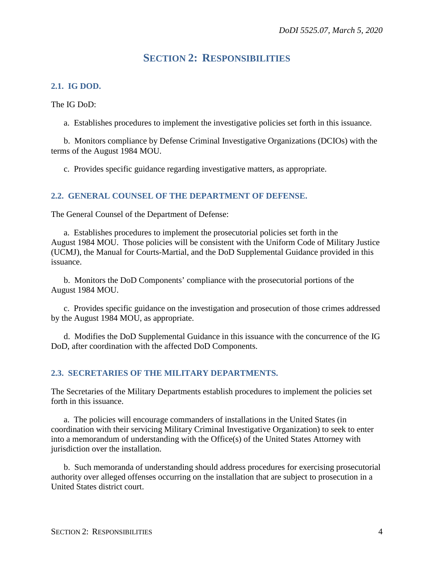## **SECTION 2: RESPONSIBILITIES**

### <span id="page-3-1"></span><span id="page-3-0"></span>**2.1. IG DOD.**

The IG DoD:

a. Establishes procedures to implement the investigative policies set forth in this issuance.

b. Monitors compliance by Defense Criminal Investigative Organizations (DCIOs) with the terms of the August 1984 MOU.

c. Provides specific guidance regarding investigative matters, as appropriate.

### <span id="page-3-2"></span>**2.2. GENERAL COUNSEL OF THE DEPARTMENT OF DEFENSE.**

The General Counsel of the Department of Defense:

a. Establishes procedures to implement the prosecutorial policies set forth in the August 1984 MOU. Those policies will be consistent with the Uniform Code of Military Justice (UCMJ), the Manual for Courts-Martial, and the DoD Supplemental Guidance provided in this issuance.

b. Monitors the DoD Components' compliance with the prosecutorial portions of the August 1984 MOU.

c. Provides specific guidance on the investigation and prosecution of those crimes addressed by the August 1984 MOU, as appropriate.

d. Modifies the DoD Supplemental Guidance in this issuance with the concurrence of the IG DoD, after coordination with the affected DoD Components.

### <span id="page-3-3"></span>**2.3. SECRETARIES OF THE MILITARY DEPARTMENTS.**

The Secretaries of the Military Departments establish procedures to implement the policies set forth in this issuance.

a. The policies will encourage commanders of installations in the United States (in coordination with their servicing Military Criminal Investigative Organization) to seek to enter into a memorandum of understanding with the Office(s) of the United States Attorney with jurisdiction over the installation.

b. Such memoranda of understanding should address procedures for exercising prosecutorial authority over alleged offenses occurring on the installation that are subject to prosecution in a United States district court.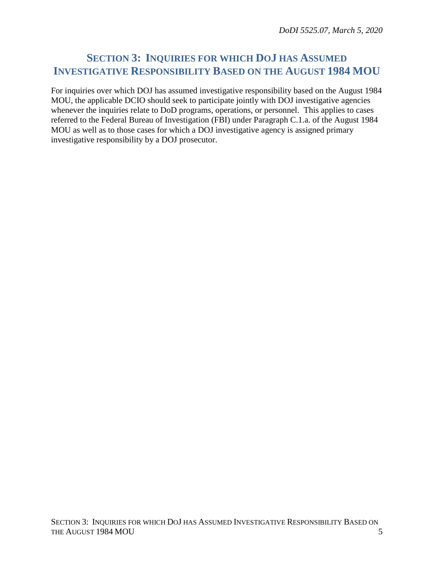## <span id="page-4-0"></span>**SECTION 3: INQUIRIES FOR WHICH DOJ HAS ASSUMED INVESTIGATIVE RESPONSIBILITY BASED ON THE AUGUST 1984 MOU**

For inquiries over which DOJ has assumed investigative responsibility based on the August 1984 MOU, the applicable DCIO should seek to participate jointly with DOJ investigative agencies whenever the inquiries relate to DoD programs, operations, or personnel. This applies to cases referred to the Federal Bureau of Investigation (FBI) under Paragraph C.1.a. of the August 1984 MOU as well as to those cases for which a DOJ investigative agency is assigned primary investigative responsibility by a DOJ prosecutor.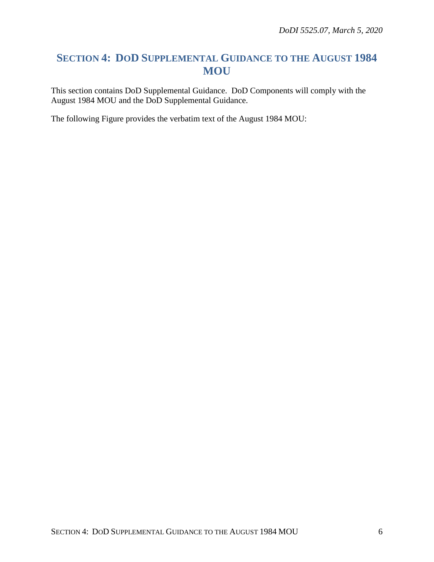## <span id="page-5-0"></span>**SECTION 4: DOD SUPPLEMENTAL GUIDANCE TO THE AUGUST 1984 MOU**

This section contains DoD Supplemental Guidance. DoD Components will comply with the August 1984 MOU and the DoD Supplemental Guidance.

The following Figure provides the verbatim text of the August 1984 MOU: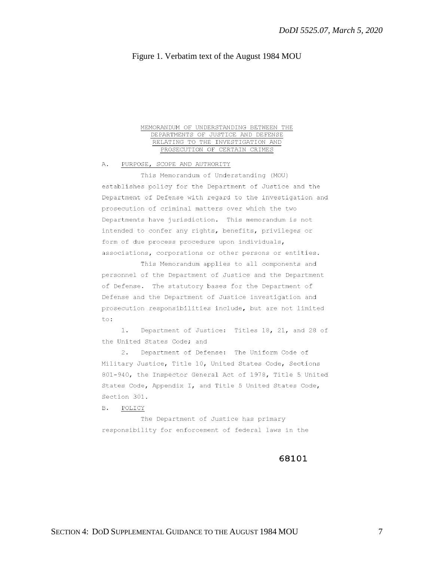### Figure 1. Verbatim text of the August 1984 MOU

### MEMORANDUM OF UNDERSTANDING BETWEEN THE DEPARTMENTS OF JUSTICE AND DEFENSE RELATING TO THE INVESTIGATION AND PROSECUTION OF CERTAIN CRIMES

PURPOSE, SCOPE AND AUTHORITY Α.

This Memorandum of Understanding (MOU) establishes policy for the Department of Justice and the Department of Defense with regard to the investigation and prosecution of criminal matters over which the two Departments have jurisdiction. This memorandum is not intended to confer any rights, benefits, privileges or form of due process procedure upon individuals, associations, corporations or other persons or entities.

This Memorandum applies to all components and personnel of the Department of Justice and the Department of Defense. The statutory bases for the Department of Defense and the Department of Justice investigation and prosecution responsibilities include, but are not limited to:

Department of Justice: Titles 18, 21, and 28 of  $1.$ the United States Code: and

Department of Defense: The Uniform Code of  $2.$ Military Justice, Title 10, United States Code, Sections 801-940, the Inspector General Act of 1978, Title 5 United States Code, Appendix I, and Title 5 United States Code, Section 301.

 $B.$ POLICY

The Department of Justice has primary responsibility for enforcement of federal laws in the

### 68101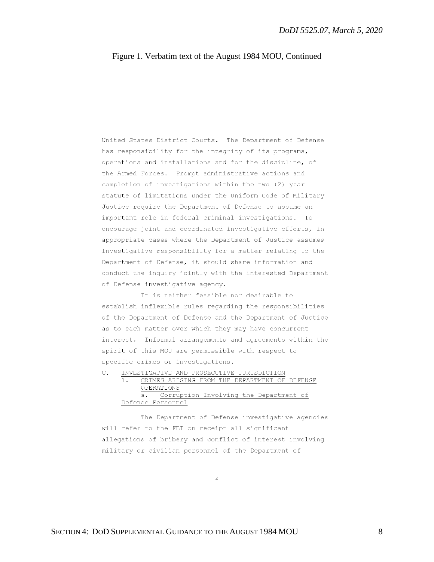United States District Courts. The Department of Defense has responsibility for the integrity of its programs, operations and installations and for the discipline, of the Armed Forces. Prompt administrative actions and completion of investigations within the two (2) year statute of limitations under the Uniform Code of Military Justice require the Department of Defense to assume an important role in federal criminal investigations. To encourage joint and coordinated investigative efforts, in appropriate cases where the Department of Justice assumes investigative responsibility for a matter relating to the Department of Defense, it should share information and conduct the inquiry jointly with the interested Department of Defense investigative agency.

It is neither feasible nor desirable to establish inflexible rules regarding the responsibilities of the Department of Defense and the Department of Justice as to each matter over which they may have concurrent interest. Informal arrangements and agreements within the spirit of this MOU are permissible with respect to specific crimes or investigations.

|  |  | INVESTIGATIVE AND PROSECUTIVE JURISDICTION    |  |  |  |  |  |
|--|--|-----------------------------------------------|--|--|--|--|--|
|  |  | CRIMES ARISING FROM THE DEPARTMENT OF DEFENSE |  |  |  |  |  |
|  |  | OPERATIONS                                    |  |  |  |  |  |
|  |  | a. Corruption Involving the Department of     |  |  |  |  |  |
|  |  | Defense Personnel                             |  |  |  |  |  |

The Department of Defense investigative agencies will refer to the FBI on receipt all significant allegations of bribery and conflict of interest involving military or civilian personnel of the Department of

 $-2-$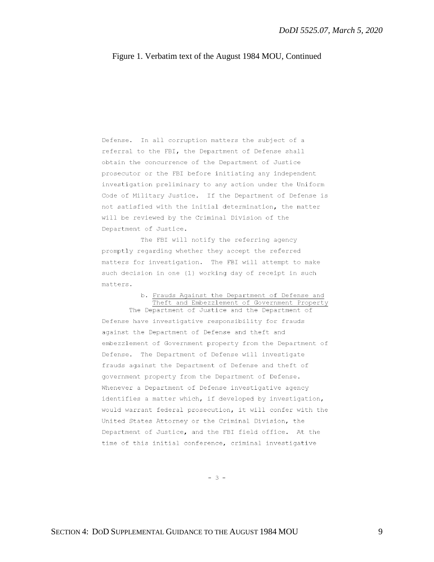Defense. In all corruption matters the subject of a referral to the FBI, the Department of Defense shall obtain the concurrence of the Department of Justice prosecutor or the FBI before initiating any independent investigation preliminary to any action under the Uniform Code of Military Justice. If the Department of Defense is not satisfied with the initial determination, the matter will be reviewed by the Criminal Division of the Department of Justice.

The FBI will notify the referring agency promptly regarding whether they accept the referred matters for investigation. The FBI will attempt to make such decision in one (1) working day of receipt in such matters.

### b. Frauds Against the Department of Defense and Theft and Embezzlement of Government Property The Department of Justice and the Department of

Defense have investigative responsibility for frauds against the Department of Defense and theft and embezzlement of Government property from the Department of Defense. The Department of Defense will investigate frauds against the Department of Defense and theft of government property from the Department of Defense. Whenever a Department of Defense investigative agency identifies a matter which, if developed by investigation, would warrant federal prosecution, it will confer with the United States Attorney or the Criminal Division, the Department of Justice, and the FBI field office. At the time of this initial conference, criminal investigative

 $-3 -$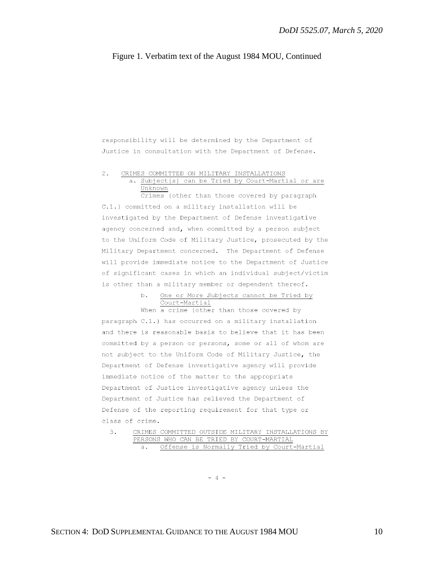responsibility will be determined by the Department of Justice in consultation with the Department of Defense.

#### $2.$ CRIMES COMMITTED ON MILITARY INSTALLATIONS a. Subject(s) can be Tried by Court-Martial or are Unknown

Crimes (other than those covered by paragraph C.1.) committed on a military installation will be investigated by the Department of Defense investigative agency concerned and, when committed by a person subject to the Uniform Code of Military Justice, prosecuted by the Military Department concerned. The Department of Defense will provide immediate notice to the Department of Justice of significant cases in which an individual subject/victim is other than a military member or dependent thereof.

#### One or More Subjects cannot be Tried by b. Court-Martial

When a crime (other than those covered by paragraph C.1.) has occurred on a military installation and there is reasonable basis to believe that it has been committed by a person or persons, some or all of whom are not subject to the Uniform Code of Military Justice, the Department of Defense investigative agency will provide immediate notice of the matter to the appropriate Department of Justice investigative agency unless the Department of Justice has relieved the Department of Defense of the reporting requirement for that type or class of crime.

#### CRIMES COMMITTED OUTSIDE MILITARY INSTALLATIONS BY  $3.$ PERSONS WHO CAN BE TRIED BY COURT-MARTIAL Offense is Normally Tried by Court-Martial  $a_{\bullet}$

 $-4 -$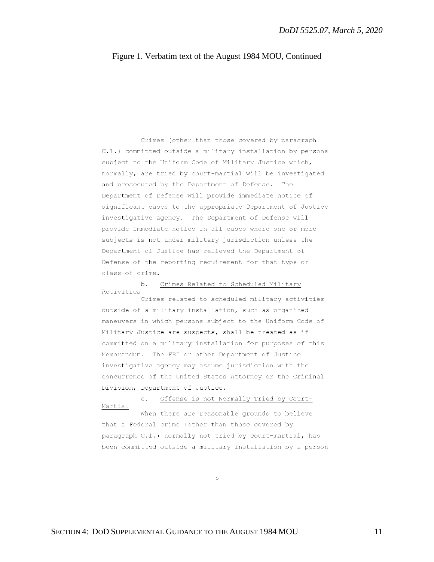Crimes (other than those covered by paragraph C.1.) committed outside a military installation by persons subject to the Uniform Code of Military Justice which, normally, are tried by court-martial will be investigated and prosecuted by the Department of Defense. The Department of Defense will provide immediate notice of significant cases to the appropriate Department of Justice investigative agency. The Department of Defense will provide immediate notice in all cases where one or more subjects is not under military jurisdiction unless the Department of Justice has relieved the Department of Defense of the reporting requirement for that type or class of crime.

Crimes Related to Scheduled Military Activities Crimes related to scheduled military activities outside of a military installation, such as organized maneuvers in which persons subject to the Uniform Code of Military Justice are suspects, shall be treated as if committed on a military installation for purposes of this Memorandum. The FBI or other Department of Justice investigative agency may assume jurisdiction with the concurrence of the United States Attorney or the Criminal Division, Department of Justice.

Offense is not Normally Tried by Court-Martial When there are reasonable grounds to believe that a Federal crime (other than those covered by paragraph C.1.) normally not tried by court-martial, has been committed outside a military installation by a person

 $-5 -$ 

 $h_{-}$ 

 $\mathbb{C}$ .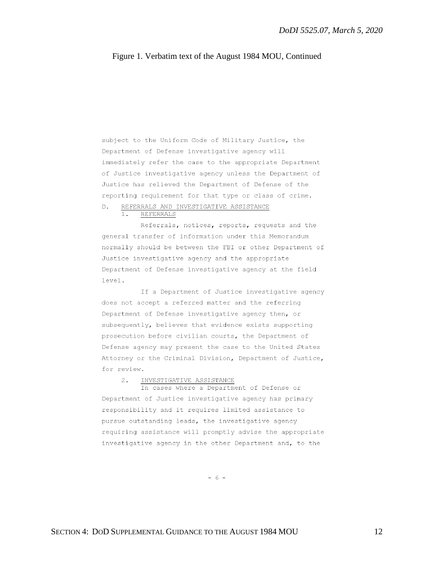subject to the Uniform Code of Military Justice, the Department of Defense investigative agency will immediately refer the case to the appropriate Department of Justice investigative agency unless the Department of Justice has relieved the Department of Defense of the reporting requirement for that type or class of crime.

#### REFERRALS AND INVESTIGATIVE ASSISTANCE  $D -$

1. REFERRALS

Referrals, notices, reports, requests and the general transfer of information under this Memorandum normally should be between the FBI or other Department of Justice investigative agency and the appropriate Department of Defense investigative agency at the field level.

If a Department of Justice investigative agency does not accept a referred matter and the referring Department of Defense investigative agency then, or subsequently, believes that evidence exists supporting prosecution before civilian courts, the Department of Defense agency may present the case to the United States Attorney or the Criminal Division, Department of Justice, for review.

#### $2.$ INVESTIGATIVE ASSISTANCE

In cases where a Department of Defense or Department of Justice investigative agency has primary responsibility and it requires limited assistance to pursue outstanding leads, the investigative agency requiring assistance will promptly advise the appropriate investigative agency in the other Department and, to the

 $-6 -$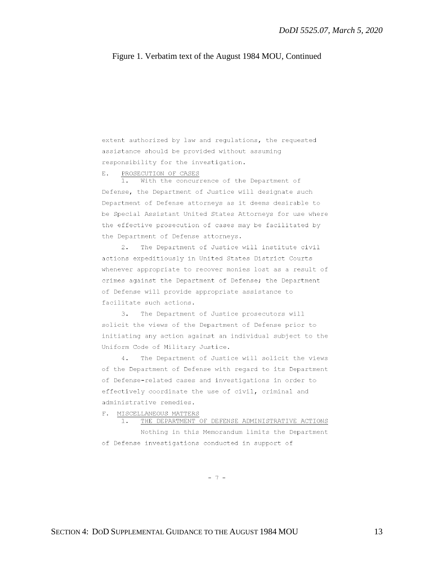extent authorized by law and regulations, the requested assistance should be provided without assuming responsibility for the investigation.

PROSECUTION OF CASES E.

 $1<sup>1</sup>$ With the concurrence of the Department of Defense, the Department of Justice will designate such Department of Defense attorneys as it deems desirable to be Special Assistant United States Attorneys for use where the effective prosecution of cases may be facilitated by the Department of Defense attorneys.

 $2.$ The Department of Justice will institute civil actions expeditiously in United States District Courts whenever appropriate to recover monies lost as a result of crimes against the Department of Defense; the Department of Defense will provide appropriate assistance to facilitate such actions.

3. The Department of Justice prosecutors will solicit the views of the Department of Defense prior to initiating any action against an individual subject to the Uniform Code of Military Justice.

 $4.1$ The Department of Justice will solicit the views of the Department of Defense with regard to its Department of Defense-related cases and investigations in order to effectively coordinate the use of civil, criminal and administrative remedies.

F. MISCELLANEOUS MATTERS

1. THE DEPARTMENT OF DEFENSE ADMINISTRATIVE ACTIONS

Nothing in this Memorandum limits the Department of Defense investigations conducted in support of

 $-7 -$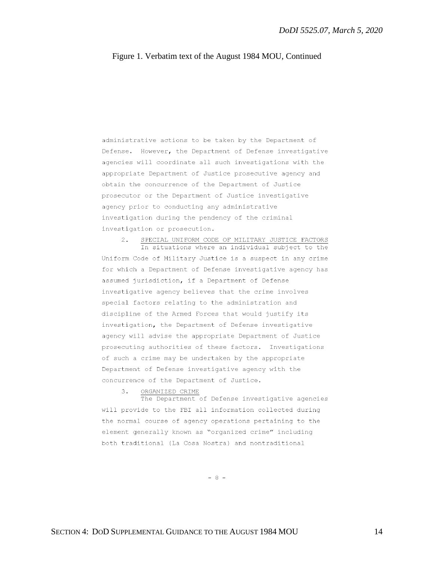administrative actions to be taken by the Department of Defense. However, the Department of Defense investigative agencies will coordinate all such investigations with the appropriate Department of Justice prosecutive agency and obtain the concurrence of the Department of Justice prosecutor or the Department of Justice investigative agency prior to conducting any administrative investigation during the pendency of the criminal investigation or prosecution.

SPECIAL UNIFORM CODE OF MILITARY JUSTICE FACTORS  $2.$ In situations where an individual subject to the Uniform Code of Military Justice is a suspect in any crime for which a Department of Defense investigative agency has assumed jurisdiction, if a Department of Defense investigative agency believes that the crime involves special factors relating to the administration and discipline of the Armed Forces that would justify its investigation, the Department of Defense investigative agency will advise the appropriate Department of Justice prosecuting authorities of these factors. Investigations of such a crime may be undertaken by the appropriate Department of Defense investigative agency with the concurrence of the Department of Justice.

 $3.$ ORGANIZED CRIME

The Department of Defense investigative agencies will provide to the FBI all information collected during the normal course of agency operations pertaining to the element generally known as "organized crime" including both traditional (La Cosa Nostra) and nontraditional

 $-8 -$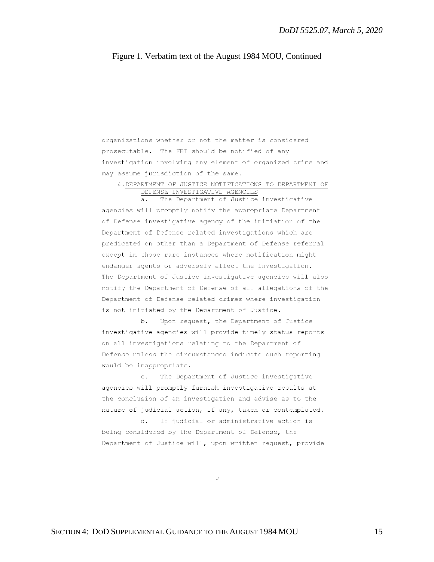organizations whether or not the matter is considered prosecutable. The FBI should be notified of any investigation involving any element of organized crime and may assume jurisdiction of the same.

4. DEPARTMENT OF JUSTICE NOTIFICATIONS TO DEPARTMENT OF DEFENSE INVESTIGATIVE AGENCIES

The Department of Justice investigative  $a<sub>z</sub>$ agencies will promptly notify the appropriate Department of Defense investigative agency of the initiation of the Department of Defense related investigations which are predicated on other than a Department of Defense referral except in those rare instances where notification might endanger agents or adversely affect the investigation. The Department of Justice investigative agencies will also notify the Department of Defense of all allegations of the Department of Defense related crimes where investigation is not initiated by the Department of Justice.

b. Upon request, the Department of Justice investigative agencies will provide timely status reports on all investigations relating to the Department of Defense unless the circumstances indicate such reporting would be inappropriate.

The Department of Justice investigative  $\circ$ . agencies will promptly furnish investigative results at the conclusion of an investigation and advise as to the nature of judicial action, if any, taken or contemplated.

d. If judicial or administrative action is being considered by the Department of Defense, the Department of Justice will, upon written request, provide

 $-9 -$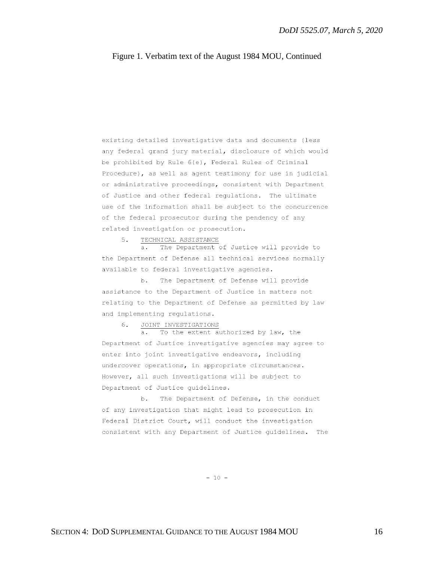existing detailed investigative data and documents (less any federal grand jury material, disclosure of which would be prohibited by Rule 6(e), Federal Rules of Criminal Procedure), as well as agent testimony for use in judicial or administrative proceedings, consistent with Department of Justice and other federal regulations. The ultimate use of the information shall be subject to the concurrence of the federal prosecutor during the pendency of any related investigation or prosecution.

TECHNICAL ASSISTANCE 5.

 $a \cdot$ The Department of Justice will provide to the Department of Defense all technical services normally available to federal investigative agencies.

b. The Department of Defense will provide assistance to the Department of Justice in matters not relating to the Department of Defense as permitted by law and implementing regulations.

JOINT INVESTIGATIONS 6.

To the extent authorized by law, the  $a.$ Department of Justice investigative agencies may agree to enter into joint investigative endeavors, including undercover operations, in appropriate circumstances. However, all such investigations will be subject to Department of Justice quidelines.

The Department of Defense, in the conduct b. of any investigation that might lead to prosecution in Federal District Court, will conduct the investigation consistent with any Department of Justice quidelines. The

 $-10 -$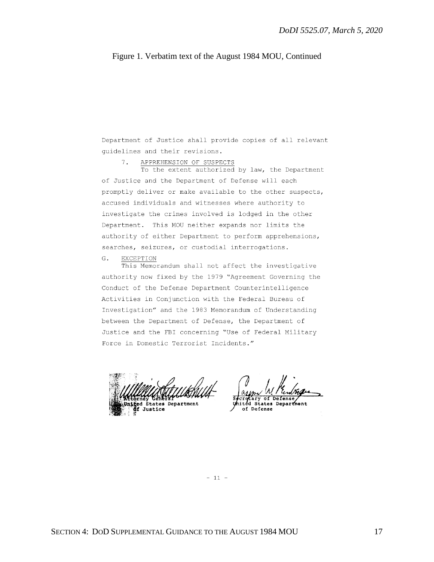Department of Justice shall provide copies of all relevant guidelines and their revisions.

APPREHENSION OF SUSPECTS  $7.$ 

To the extent authorized by law, the Department of Justice and the Department of Defense will each promptly deliver or make available to the other suspects, accused individuals and witnesses where authority to investigate the crimes involved is lodged in the other Department. This MOU neither expands nor limits the authority of either Department to perform apprehensions, searches, seizures, or custodial interrogations.

#### $G$ . EXCEPTION

This Memorandum shall not affect the investigative authority now fixed by the 1979 "Agreement Governing the Conduct of the Defense Department Counterintelligence Activities in Conjunction with the Federal Bureau of Investigation" and the 1983 Memorandum of Understanding between the Department of Defense, the Department of Justice and the FBI concerning "Use of Federal Military Force in Domestic Terrorist Incidents."

**States Department** Justice

States Department of Defense

 $-11 -$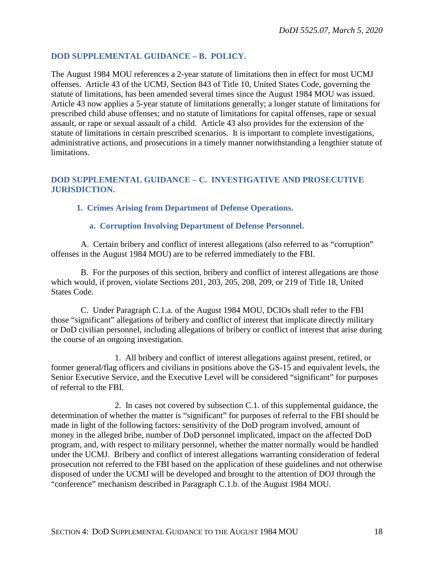### <span id="page-17-0"></span>**DOD SUPPLEMENTAL GUIDANCE – B. POLICY.**

The August 1984 MOU references a 2-year statute of limitations then in effect for most UCMJ offenses. Article 43 of the UCMJ, Section 843 of Title 10, United States Code, governing the statute of limitations, has been amended several times since the August 1984 MOU was issued. Article 43 now applies a 5-year statute of limitations generally; a longer statute of limitations for prescribed child abuse offenses; and no statute of limitations for capital offenses, rape or sexual assault, or rape or sexual assault of a child. Article 43 also provides for the extension of the statute of limitations in certain prescribed scenarios. It is important to complete investigations, administrative actions, and prosecutions in a timely manner notwithstanding a lengthier statute of limitations.

### <span id="page-17-1"></span>**DOD SUPPLEMENTAL GUIDANCE – C. INVESTIGATIVE AND PROSECUTIVE JURISDICTION.**

### **1. Crimes Arising from Department of Defense Operations.**

### **a. Corruption Involving Department of Defense Personnel.**

 A. Certain bribery and conflict of interest allegations (also referred to as "corruption" offenses in the August 1984 MOU) are to be referred immediately to the FBI.

 B. For the purposes of this section, bribery and conflict of interest allegations are those which would, if proven, violate Sections 201, 203, 205, 208, 209, or 219 of Title 18, United States Code.

 C. Under Paragraph C.1.a. of the August 1984 MOU, DCIOs shall refer to the FBI those "significant" allegations of bribery and conflict of interest that implicate directly military or DoD civilian personnel, including allegations of bribery or conflict of interest that arise during the course of an ongoing investigation.

1. All bribery and conflict of interest allegations against present, retired, or former general/flag officers and civilians in positions above the GS-15 and equivalent levels, the Senior Executive Service, and the Executive Level will be considered "significant" for purposes of referral to the FBI.

2. In cases not covered by subsection C.1. of this supplemental guidance, the determination of whether the matter is "significant" for purposes of referral to the FBI should be made in light of the following factors: sensitivity of the DoD program involved, amount of money in the alleged bribe, number of DoD personnel implicated, impact on the affected DoD program, and, with respect to military personnel, whether the matter normally would be handled under the UCMJ. Bribery and conflict of interest allegations warranting consideration of federal prosecution not referred to the FBI based on the application of these guidelines and not otherwise disposed of under the UCMJ will be developed and brought to the attention of DOJ through the "conference" mechanism described in Paragraph C.1.b. of the August 1984 MOU.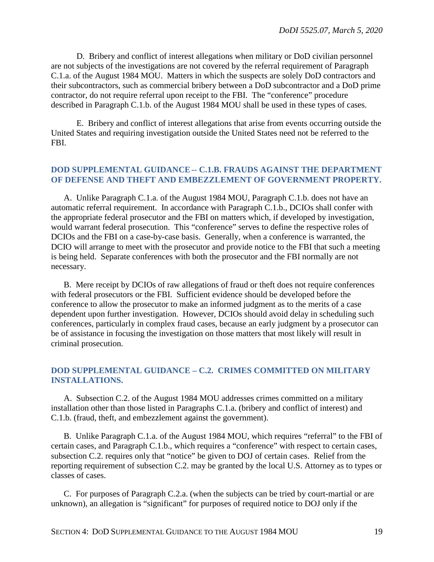D. Bribery and conflict of interest allegations when military or DoD civilian personnel are not subjects of the investigations are not covered by the referral requirement of Paragraph C.1.a. of the August 1984 MOU. Matters in which the suspects are solely DoD contractors and their subcontractors, such as commercial bribery between a DoD subcontractor and a DoD prime contractor, do not require referral upon receipt to the FBI. The "conference" procedure described in Paragraph C.1.b. of the August 1984 MOU shall be used in these types of cases.

E. Bribery and conflict of interest allegations that arise from events occurring outside the United States and requiring investigation outside the United States need not be referred to the FBI.

### <span id="page-18-0"></span>**DOD SUPPLEMENTAL GUIDANCE-- C.1.B. FRAUDS AGAINST THE DEPARTMENT OF DEFENSE AND THEFT AND EMBEZZLEMENT OF GOVERNMENT PROPERTY.**

A. Unlike Paragraph C.1.a. of the August 1984 MOU, Paragraph C.1.b. does not have an automatic referral requirement. In accordance with Paragraph C.1.b., DCIOs shall confer with the appropriate federal prosecutor and the FBI on matters which, if developed by investigation, would warrant federal prosecution. This "conference" serves to define the respective roles of DCIOs and the FBI on a case-by-case basis. Generally, when a conference is warranted, the DCIO will arrange to meet with the prosecutor and provide notice to the FBI that such a meeting is being held. Separate conferences with both the prosecutor and the FBI normally are not necessary.

B. Mere receipt by DCIOs of raw allegations of fraud or theft does not require conferences with federal prosecutors or the FBI. Sufficient evidence should be developed before the conference to allow the prosecutor to make an informed judgment as to the merits of a case dependent upon further investigation. However, DCIOs should avoid delay in scheduling such conferences, particularly in complex fraud cases, because an early judgment by a prosecutor can be of assistance in focusing the investigation on those matters that most likely will result in criminal prosecution.

### <span id="page-18-1"></span>**DOD SUPPLEMENTAL GUIDANCE – C.2. CRIMES COMMITTED ON MILITARY INSTALLATIONS.**

A. Subsection C.2. of the August 1984 MOU addresses crimes committed on a military installation other than those listed in Paragraphs C.1.a. (bribery and conflict of interest) and C.1.b. (fraud, theft, and embezzlement against the government).

B. Unlike Paragraph C.1.a. of the August 1984 MOU, which requires "referral" to the FBI of certain cases, and Paragraph C.1.b., which requires a "conference" with respect to certain cases, subsection C.2. requires only that "notice" be given to DOJ of certain cases. Relief from the reporting requirement of subsection C.2. may be granted by the local U.S. Attorney as to types or classes of cases.

C. For purposes of Paragraph C.2.a. (when the subjects can be tried by court-martial or are unknown), an allegation is "significant" for purposes of required notice to DOJ only if the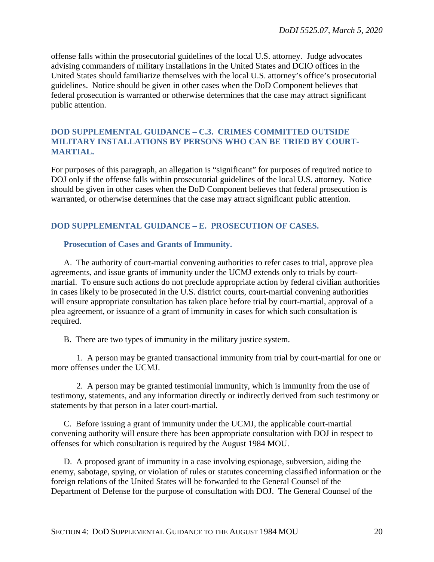offense falls within the prosecutorial guidelines of the local U.S. attorney. Judge advocates advising commanders of military installations in the United States and DCIO offices in the United States should familiarize themselves with the local U.S. attorney's office's prosecutorial guidelines. Notice should be given in other cases when the DoD Component believes that federal prosecution is warranted or otherwise determines that the case may attract significant public attention.

### <span id="page-19-0"></span>**DOD SUPPLEMENTAL GUIDANCE – C.3. CRIMES COMMITTED OUTSIDE MILITARY INSTALLATIONS BY PERSONS WHO CAN BE TRIED BY COURT-MARTIAL.**

For purposes of this paragraph, an allegation is "significant" for purposes of required notice to DOJ only if the offense falls within prosecutorial guidelines of the local U.S. attorney. Notice should be given in other cases when the DoD Component believes that federal prosecution is warranted, or otherwise determines that the case may attract significant public attention.

### <span id="page-19-1"></span>**DOD SUPPLEMENTAL GUIDANCE – E. PROSECUTION OF CASES.**

### <span id="page-19-2"></span>**Prosecution of Cases and Grants of Immunity.**

A. The authority of court-martial convening authorities to refer cases to trial, approve plea agreements, and issue grants of immunity under the UCMJ extends only to trials by courtmartial. To ensure such actions do not preclude appropriate action by federal civilian authorities in cases likely to be prosecuted in the U.S. district courts, court-martial convening authorities will ensure appropriate consultation has taken place before trial by court-martial, approval of a plea agreement, or issuance of a grant of immunity in cases for which such consultation is required.

B. There are two types of immunity in the military justice system.

1. A person may be granted transactional immunity from trial by court-martial for one or more offenses under the UCMJ.

2. A person may be granted testimonial immunity, which is immunity from the use of testimony, statements, and any information directly or indirectly derived from such testimony or statements by that person in a later court-martial.

C. Before issuing a grant of immunity under the UCMJ, the applicable court-martial convening authority will ensure there has been appropriate consultation with DOJ in respect to offenses for which consultation is required by the August 1984 MOU.

D. A proposed grant of immunity in a case involving espionage, subversion, aiding the enemy, sabotage, spying, or violation of rules or statutes concerning classified information or the foreign relations of the United States will be forwarded to the General Counsel of the Department of Defense for the purpose of consultation with DOJ. The General Counsel of the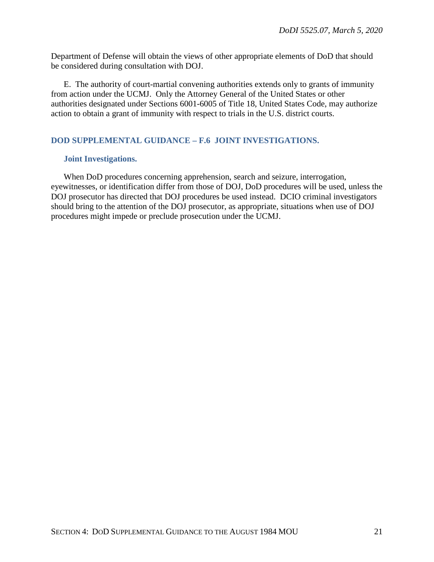Department of Defense will obtain the views of other appropriate elements of DoD that should be considered during consultation with DOJ.

E. The authority of court-martial convening authorities extends only to grants of immunity from action under the UCMJ. Only the Attorney General of the United States or other authorities designated under Sections 6001-6005 of Title 18, United States Code, may authorize action to obtain a grant of immunity with respect to trials in the U.S. district courts.

### <span id="page-20-0"></span>**DOD SUPPLEMENTAL GUIDANCE – F.6 JOINT INVESTIGATIONS.**

### <span id="page-20-1"></span>**Joint Investigations.**

When DoD procedures concerning apprehension, search and seizure, interrogation, eyewitnesses, or identification differ from those of DOJ, DoD procedures will be used, unless the DOJ prosecutor has directed that DOJ procedures be used instead. DCIO criminal investigators should bring to the attention of the DOJ prosecutor, as appropriate, situations when use of DOJ procedures might impede or preclude prosecution under the UCMJ.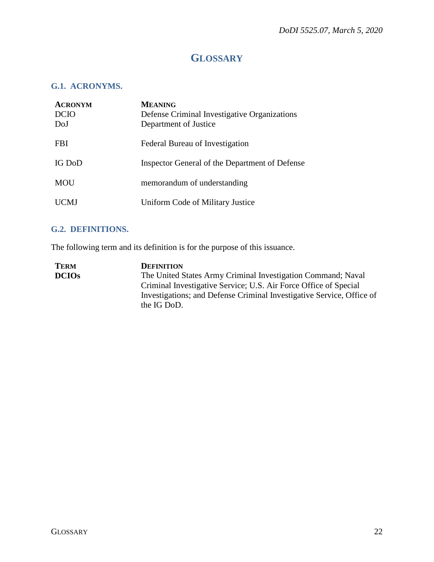## **GLOSSARY**

### <span id="page-21-1"></span><span id="page-21-0"></span>**G.1. ACRONYMS.**

| <b>ACRONYM</b><br><b>DCIO</b><br>DoJ | <b>MEANING</b><br>Defense Criminal Investigative Organizations<br>Department of Justice |
|--------------------------------------|-----------------------------------------------------------------------------------------|
| <b>FBI</b>                           | Federal Bureau of Investigation                                                         |
| IG DoD                               | Inspector General of the Department of Defense                                          |
| MOU                                  | memorandum of understanding                                                             |
| CMJ                                  | Uniform Code of Military Justice                                                        |

## <span id="page-21-2"></span>**G.2. DEFINITIONS.**

The following term and its definition is for the purpose of this issuance.

| <b>TERM</b>  | <b>DEFINITION</b>                                                     |
|--------------|-----------------------------------------------------------------------|
| <b>DCIOs</b> | The United States Army Criminal Investigation Command; Naval          |
|              | Criminal Investigative Service; U.S. Air Force Office of Special      |
|              | Investigations; and Defense Criminal Investigative Service, Office of |
|              | the IG DoD.                                                           |